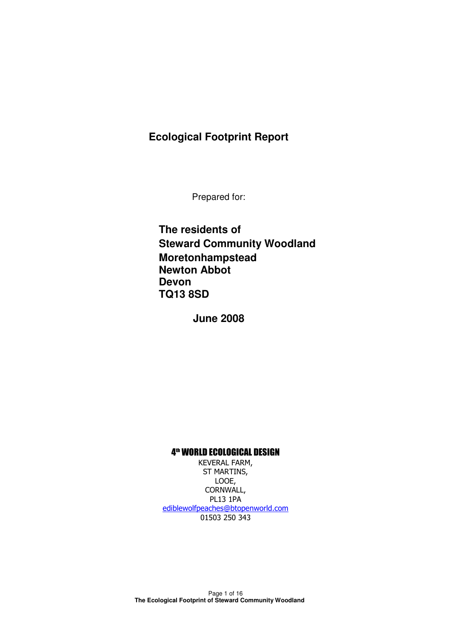## **Ecological Footprint Report**

Prepared for:

**The residents of Steward Community Woodland Moretonhampstead Newton Abbot Devon TQ13 8SD** 

**June 2008** 

#### 4<sup>th</sup> WORLD ECOLOGICAL DESIGN

KEVERAL FARM, ST MARTINS, LOOE, CORNWALL, PL13 1PA ediblewolfpeaches@btopenworld.com 01503 250 343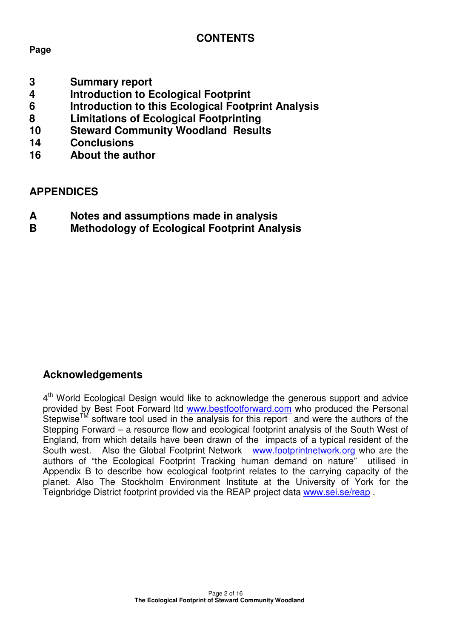# **CONTENTS**

## **Page**

- **3 Summary report**
- **4 Introduction to Ecological Footprint**
- **6 Introduction to this Ecological Footprint Analysis**
- **8 Limitations of Ecological Footprinting**
- **10 Steward Community Woodland Results**
- **14 Conclusions**
- **16 About the author**

## **APPENDICES**

- **A Notes and assumptions made in analysis**
- **B Methodology of Ecological Footprint Analysis**

## **Acknowledgements**

4<sup>th</sup> World Ecological Design would like to acknowledge the generous support and advice provided by Best Foot Forward ltd www.bestfootforward.com who produced the Personal Stepwise<sup>TM</sup> software tool used in the analysis for this report and were the authors of the Stepping Forward – a resource flow and ecological footprint analysis of the South West of England, from which details have been drawn of the impacts of a typical resident of the South west. Also the Global Footprint Network www.footprintnetwork.org who are the authors of "the Ecological Footprint Tracking human demand on nature" utilised in Appendix B to describe how ecological footprint relates to the carrying capacity of the planet. Also The Stockholm Environment Institute at the University of York for the Teignbridge District footprint provided via the REAP project data www.sei.se/reap .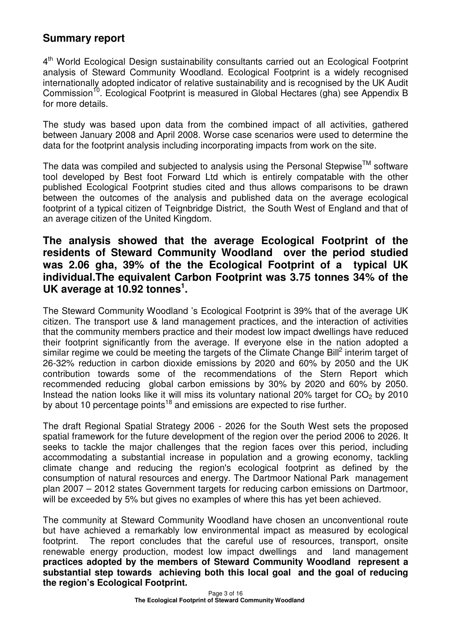## **Summary report**

4<sup>th</sup> World Ecological Design sustainability consultants carried out an Ecological Footprint analysis of Steward Community Woodland. Ecological Footprint is a widely recognised internationally adopted indicator of relative sustainability and is recognised by the UK Audit Commission<sup>10</sup>. Ecological Footprint is measured in Global Hectares (gha) see Appendix B for more details.

The study was based upon data from the combined impact of all activities, gathered between January 2008 and April 2008. Worse case scenarios were used to determine the data for the footprint analysis including incorporating impacts from work on the site.

The data was compiled and subjected to analysis using the Personal Stepwise<sup>TM</sup> software tool developed by Best foot Forward Ltd which is entirely compatable with the other published Ecological Footprint studies cited and thus allows comparisons to be drawn between the outcomes of the analysis and published data on the average ecological footprint of a typical citizen of Teignbridge District, the South West of England and that of an average citizen of the United Kingdom.

## **The analysis showed that the average Ecological Footprint of the residents of Steward Community Woodland over the period studied was 2.06 gha, 39% of the the Ecological Footprint of a typical UK individual.The equivalent Carbon Footprint was 3.75 tonnes 34% of the UK average at 10.92 tonnes<sup>1</sup> .**

The Steward Community Woodland 's Ecological Footprint is 39% that of the average UK citizen. The transport use & land management practices, and the interaction of activities that the community members practice and their modest low impact dwellings have reduced their footprint significantly from the average. If everyone else in the nation adopted a similar regime we could be meeting the targets of the Climate Change Bill<sup>2</sup> interim target of 26-32% reduction in carbon dioxide emissions by 2020 and 60% by 2050 and the UK contribution towards some of the recommendations of the Stern Report which recommended reducing global carbon emissions by 30% by 2020 and 60% by 2050. Instead the nation looks like it will miss its voluntary national 20% target for  $CO<sub>2</sub>$  by 2010 by about 10 percentage points<sup>18</sup> and emissions are expected to rise further.

The draft Regional Spatial Strategy 2006 - 2026 for the South West sets the proposed spatial framework for the future development of the region over the period 2006 to 2026. It seeks to tackle the major challenges that the region faces over this period, including accommodating a substantial increase in population and a growing economy, tackling climate change and reducing the region's ecological footprint as defined by the consumption of natural resources and energy. The Dartmoor National Park management plan 2007 – 2012 states Government targets for reducing carbon emissions on Dartmoor, will be exceeded by 5% but gives no examples of where this has yet been achieved.

The community at Steward Community Woodland have chosen an unconventional route but have achieved a remarkably low environmental impact as measured by ecological footprint. The report concludes that the careful use of resources, transport, onsite renewable energy production, modest low impact dwellings and land management **practices adopted by the members of Steward Community Woodland represent a substantial step towards achieving both this local goal and the goal of reducing the region's Ecological Footprint.**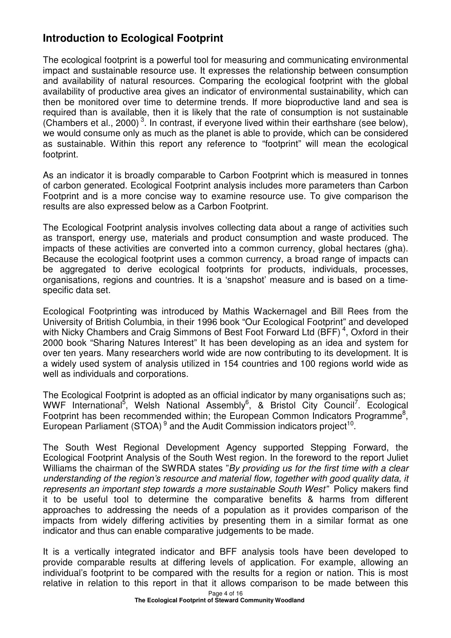# **Introduction to Ecological Footprint**

The ecological footprint is a powerful tool for measuring and communicating environmental impact and sustainable resource use. It expresses the relationship between consumption and availability of natural resources. Comparing the ecological footprint with the global availability of productive area gives an indicator of environmental sustainability, which can then be monitored over time to determine trends. If more bioproductive land and sea is required than is available, then it is likely that the rate of consumption is not sustainable (Chambers et al., 2000)<sup>3</sup>. In contrast, if everyone lived within their earthshare (see below), we would consume only as much as the planet is able to provide, which can be considered as sustainable. Within this report any reference to "footprint" will mean the ecological footprint.

As an indicator it is broadly comparable to Carbon Footprint which is measured in tonnes of carbon generated. Ecological Footprint analysis includes more parameters than Carbon Footprint and is a more concise way to examine resource use. To give comparison the results are also expressed below as a Carbon Footprint.

The Ecological Footprint analysis involves collecting data about a range of activities such as transport, energy use, materials and product consumption and waste produced. The impacts of these activities are converted into a common currency, global hectares (gha). Because the ecological footprint uses a common currency, a broad range of impacts can be aggregated to derive ecological footprints for products, individuals, processes, organisations, regions and countries. It is a 'snapshot' measure and is based on a timespecific data set.

Ecological Footprinting was introduced by Mathis Wackernagel and Bill Rees from the University of British Columbia, in their 1996 book "Our Ecological Footprint" and developed with Nicky Chambers and Craig Simmons of Best Foot Forward Ltd (BFF)<sup>4</sup>, Oxford in their 2000 book "Sharing Natures Interest" It has been developing as an idea and system for over ten years. Many researchers world wide are now contributing to its development. It is a widely used system of analysis utilized in 154 countries and 100 regions world wide as well as individuals and corporations.

The Ecological Footprint is adopted as an official indicator by many organisations such as: WWF International<sup>5</sup>, Welsh National Assembly<sup>6</sup>, & Bristol City Council<sup>7</sup>. Ecological Footprint has been recommended within; the European Common Indicators Programme<sup>8</sup>, European Parliament (STOA)<sup>9</sup> and the Audit Commission indicators project<sup>10</sup>.

The South West Regional Development Agency supported Stepping Forward, the Ecological Footprint Analysis of the South West region. In the foreword to the report Juliet Williams the chairman of the SWRDA states "By providing us for the first time with a clear understanding of the region's resource and material flow, together with good quality data, it represents an important step towards a more sustainable South West" Policy makers find it to be useful tool to determine the comparative benefits & harms from different approaches to addressing the needs of a population as it provides comparison of the impacts from widely differing activities by presenting them in a similar format as one indicator and thus can enable comparative judgements to be made.

It is a vertically integrated indicator and BFF analysis tools have been developed to provide comparable results at differing levels of application. For example, allowing an individual's footprint to be compared with the results for a region or nation. This is most relative in relation to this report in that it allows comparison to be made between this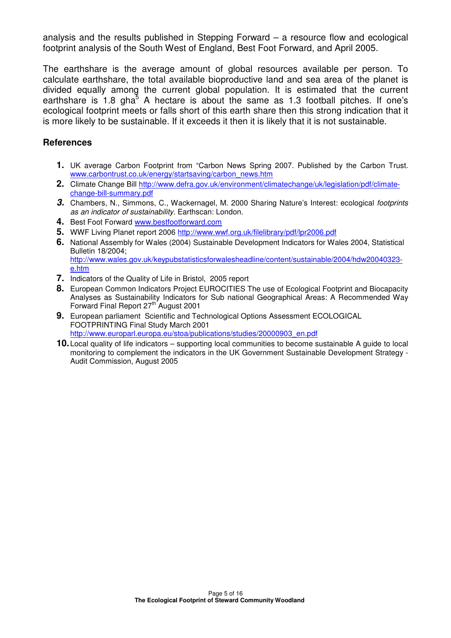analysis and the results published in Stepping Forward – a resource flow and ecological footprint analysis of the South West of England, Best Foot Forward, and April 2005.

The earthshare is the average amount of global resources available per person. To calculate earthshare, the total available bioproductive land and sea area of the planet is divided equally among the current global population. It is estimated that the current earthshare is 1.8 gha<sup>5</sup> A hectare is about the same as 1.3 football pitches. If one's ecological footprint meets or falls short of this earth share then this strong indication that it is more likely to be sustainable. If it exceeds it then it is likely that it is not sustainable.

#### **References**

- **1.** UK average Carbon Footprint from "Carbon News Spring 2007. Published by the Carbon Trust. www.carbontrust.co.uk/energy/startsaving/carbon\_news.htm
- **2.** Climate Change Bill http://www.defra.gov.uk/environment/climatechange/uk/legislation/pdf/climatechange-bill-summary.pdf
- **3.** Chambers, N., Simmons, C., Wackernagel, M. 2000 Sharing Nature's Interest: ecological footprints as an indicator of sustainability. Earthscan: London.
- **4.** Best Foot Forward www.bestfootforward.com
- **5.** WWF Living Planet report 2006 http://www.wwf.org.uk/filelibrary/pdf/lpr2006.pdf
- **6.** National Assembly for Wales (2004) Sustainable Development Indicators for Wales 2004, Statistical Bulletin 18/2004; http://www.wales.gov.uk/keypubstatisticsforwalesheadline/content/sustainable/2004/hdw20040323 e.htm
- **7.** Indicators of the Quality of Life in Bristol, 2005 report
- 8. European Common Indicators Project EUROCITIES The use of Ecological Footprint and Biocapacity Analyses as Sustainability Indicators for Sub national Geographical Areas: A Recommended Way Forward Final Report 27th August 2001
- **9.** European parliament Scientific and Technological Options Assessment ECOLOGICAL FOOTPRINTING Final Study March 2001 http://www.europarl.europa.eu/stoa/publications/studies/20000903\_en.pdf
- **10.** Local quality of life indicators supporting local communities to become sustainable A guide to local monitoring to complement the indicators in the UK Government Sustainable Development Strategy - Audit Commission, August 2005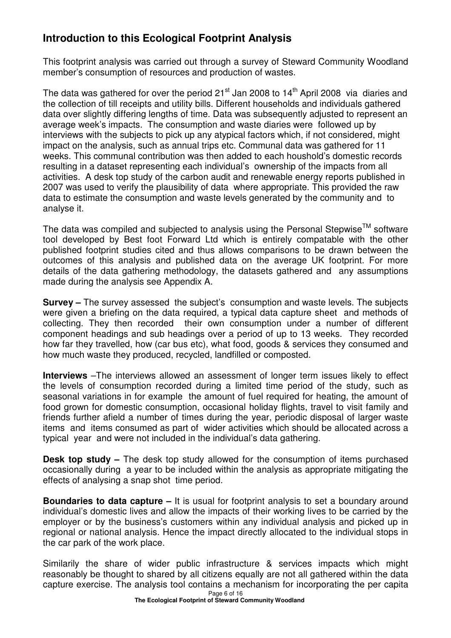# **Introduction to this Ecological Footprint Analysis**

This footprint analysis was carried out through a survey of Steward Community Woodland member's consumption of resources and production of wastes.

The data was gathered for over the period  $21<sup>st</sup>$  Jan 2008 to  $14<sup>th</sup>$  April 2008 via diaries and the collection of till receipts and utility bills. Different households and individuals gathered data over slightly differing lengths of time. Data was subsequently adjusted to represent an average week's impacts. The consumption and waste diaries were followed up by interviews with the subjects to pick up any atypical factors which, if not considered, might impact on the analysis, such as annual trips etc. Communal data was gathered for 11 weeks. This communal contribution was then added to each houshold's domestic records resulting in a dataset representing each individual's ownership of the impacts from all activities. A desk top study of the carbon audit and renewable energy reports published in 2007 was used to verify the plausibility of data where appropriate. This provided the raw data to estimate the consumption and waste levels generated by the community and to analyse it.

The data was compiled and subjected to analysis using the Personal Stepwise<sup>TM</sup> software tool developed by Best foot Forward Ltd which is entirely compatable with the other published footprint studies cited and thus allows comparisons to be drawn between the outcomes of this analysis and published data on the average UK footprint. For more details of the data gathering methodology, the datasets gathered and any assumptions made during the analysis see Appendix A.

**Survey –** The survey assessed the subject's consumption and waste levels. The subjects were given a briefing on the data required, a typical data capture sheet and methods of collecting. They then recorded their own consumption under a number of different component headings and sub headings over a period of up to 13 weeks. They recorded how far they travelled, how (car bus etc), what food, goods & services they consumed and how much waste they produced, recycled, landfilled or composted.

**Interviews** –The interviews allowed an assessment of longer term issues likely to effect the levels of consumption recorded during a limited time period of the study, such as seasonal variations in for example the amount of fuel required for heating, the amount of food grown for domestic consumption, occasional holiday flights, travel to visit family and friends further afield a number of times during the year, periodic disposal of larger waste items and items consumed as part of wider activities which should be allocated across a typical year and were not included in the individual's data gathering.

**Desk top study –** The desk top study allowed for the consumption of items purchased occasionally during a year to be included within the analysis as appropriate mitigating the effects of analysing a snap shot time period.

**Boundaries to data capture –** It is usual for footprint analysis to set a boundary around individual's domestic lives and allow the impacts of their working lives to be carried by the employer or by the business's customers within any individual analysis and picked up in regional or national analysis. Hence the impact directly allocated to the individual stops in the car park of the work place.

Page 6 of 16 Similarily the share of wider public infrastructure & services impacts which might reasonably be thought to shared by all citizens equally are not all gathered within the data capture exercise. The analysis tool contains a mechanism for incorporating the per capita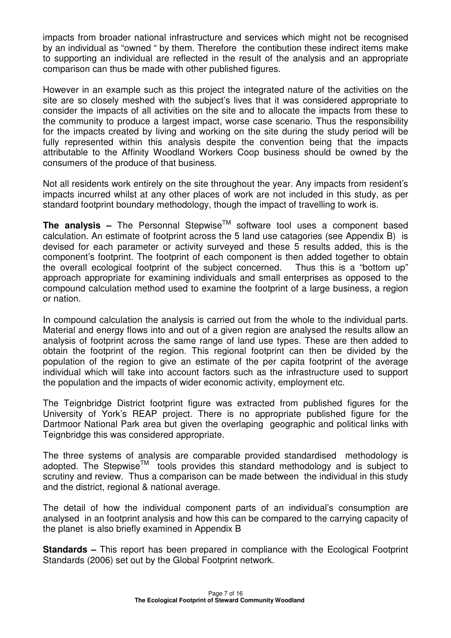impacts from broader national infrastructure and services which might not be recognised by an individual as "owned " by them. Therefore the contibution these indirect items make to supporting an individual are reflected in the result of the analysis and an appropriate comparison can thus be made with other published figures.

However in an example such as this project the integrated nature of the activities on the site are so closely meshed with the subject's lives that it was considered appropriate to consider the impacts of all activities on the site and to allocate the impacts from these to the community to produce a largest impact, worse case scenario. Thus the responsibility for the impacts created by living and working on the site during the study period will be fully represented within this analysis despite the convention being that the impacts attributable to the Affinity Woodland Workers Coop business should be owned by the consumers of the produce of that business.

Not all residents work entirely on the site throughout the year. Any impacts from resident's impacts incurred whilst at any other places of work are not included in this study, as per standard footprint boundary methodology, though the impact of travelling to work is.

**The analysis –** The Personnal Stepwise<sup>TM</sup> software tool uses a component based calculation. An estimate of footprint across the 5 land use catagories (see Appendix B) is devised for each parameter or activity surveyed and these 5 results added, this is the component's footprint. The footprint of each component is then added together to obtain the overall ecological footprint of the subject concerned. Thus this is a "bottom up" approach appropriate for examining individuals and small enterprises as opposed to the compound calculation method used to examine the footprint of a large business, a region or nation.

In compound calculation the analysis is carried out from the whole to the individual parts. Material and energy flows into and out of a given region are analysed the results allow an analysis of footprint across the same range of land use types. These are then added to obtain the footprint of the region. This regional footprint can then be divided by the population of the region to give an estimate of the per capita footprint of the average individual which will take into account factors such as the infrastructure used to support the population and the impacts of wider economic activity, employment etc.

The Teignbridge District footprint figure was extracted from published figures for the University of York's REAP project. There is no appropriate published figure for the Dartmoor National Park area but given the overlaping geographic and political links with Teignbridge this was considered appropriate.

The three systems of analysis are comparable provided standardised methodology is adopted. The Stepwise<sup>TM</sup> tools provides this standard methodology and is subject to scrutiny and review. Thus a comparison can be made between the individual in this study and the district, regional & national average.

The detail of how the individual component parts of an individual's consumption are analysed in an footprint analysis and how this can be compared to the carrying capacity of the planet is also briefly examined in Appendix B

**Standards –** This report has been prepared in compliance with the Ecological Footprint Standards (2006) set out by the Global Footprint network.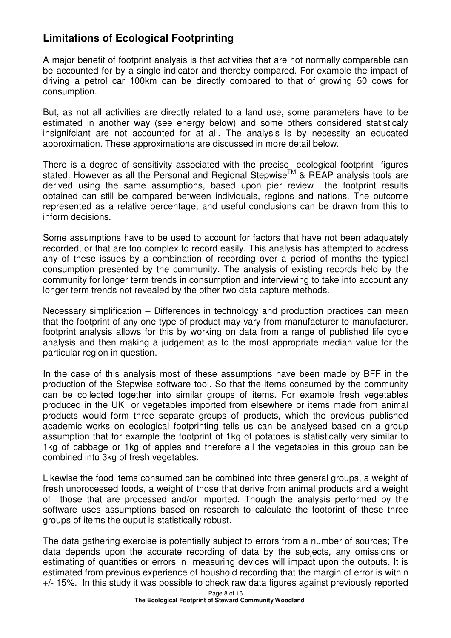# **Limitations of Ecological Footprinting**

A major benefit of footprint analysis is that activities that are not normally comparable can be accounted for by a single indicator and thereby compared. For example the impact of driving a petrol car 100km can be directly compared to that of growing 50 cows for consumption.

But, as not all activities are directly related to a land use, some parameters have to be estimated in another way (see energy below) and some others considered statisticaly insignifciant are not accounted for at all. The analysis is by necessity an educated approximation. These approximations are discussed in more detail below.

There is a degree of sensitivity associated with the precise ecological footprint figures stated. However as all the Personal and Regional Stepwise<sup>TM</sup> & REAP analysis tools are derived using the same assumptions, based upon pier review the footprint results obtained can still be compared between individuals, regions and nations. The outcome represented as a relative percentage, and useful conclusions can be drawn from this to inform decisions.

Some assumptions have to be used to account for factors that have not been adaquately recorded, or that are too complex to record easily. This analysis has attempted to address any of these issues by a combination of recording over a period of months the typical consumption presented by the community. The analysis of existing records held by the community for longer term trends in consumption and interviewing to take into account any longer term trends not revealed by the other two data capture methods.

Necessary simplification – Differences in technology and production practices can mean that the footprint of any one type of product may vary from manufacturer to manufacturer. footprint analysis allows for this by working on data from a range of published life cycle analysis and then making a judgement as to the most appropriate median value for the particular region in question.

In the case of this analysis most of these assumptions have been made by BFF in the production of the Stepwise software tool. So that the items consumed by the community can be collected together into similar groups of items. For example fresh vegetables produced in the UK or vegetables imported from elsewhere or items made from animal products would form three separate groups of products, which the previous published academic works on ecological footprinting tells us can be analysed based on a group assumption that for example the footprint of 1kg of potatoes is statistically very similar to 1kg of cabbage or 1kg of apples and therefore all the vegetables in this group can be combined into 3kg of fresh vegetables.

Likewise the food items consumed can be combined into three general groups, a weight of fresh unprocessed foods, a weight of those that derive from animal products and a weight of those that are processed and/or imported. Though the analysis performed by the software uses assumptions based on research to calculate the footprint of these three groups of items the ouput is statistically robust.

The data gathering exercise is potentially subject to errors from a number of sources; The data depends upon the accurate recording of data by the subjects, any omissions or estimating of quantities or errors in measuring devices will impact upon the outputs. It is estimated from previous experience of houshold recording that the margin of error is within +/- 15%. In this study it was possible to check raw data figures against previously reported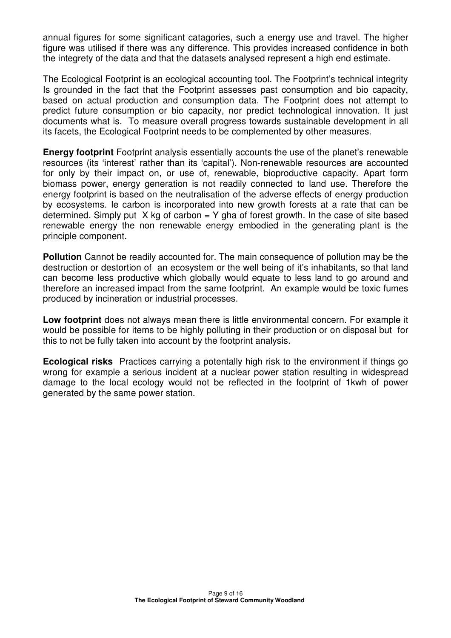annual figures for some significant catagories, such a energy use and travel. The higher figure was utilised if there was any difference. This provides increased confidence in both the integrety of the data and that the datasets analysed represent a high end estimate.

The Ecological Footprint is an ecological accounting tool. The Footprint's technical integrity Is grounded in the fact that the Footprint assesses past consumption and bio capacity, based on actual production and consumption data. The Footprint does not attempt to predict future consumption or bio capacity, nor predict technological innovation. It just documents what is. To measure overall progress towards sustainable development in all its facets, the Ecological Footprint needs to be complemented by other measures.

**Energy footprint** Footprint analysis essentially accounts the use of the planet's renewable resources (its 'interest' rather than its 'capital'). Non-renewable resources are accounted for only by their impact on, or use of, renewable, bioproductive capacity. Apart form biomass power, energy generation is not readily connected to land use. Therefore the energy footprint is based on the neutralisation of the adverse effects of energy production by ecosystems. Ie carbon is incorporated into new growth forests at a rate that can be determined. Simply put  $X$  kg of carbon = Y gha of forest growth. In the case of site based renewable energy the non renewable energy embodied in the generating plant is the principle component.

**Pollution** Cannot be readily accounted for. The main consequence of pollution may be the destruction or destortion of an ecosystem or the well being of it's inhabitants, so that land can become less productive which globally would equate to less land to go around and therefore an increased impact from the same footprint. An example would be toxic fumes produced by incineration or industrial processes.

**Low footprint** does not always mean there is little environmental concern. For example it would be possible for items to be highly polluting in their production or on disposal but for this to not be fully taken into account by the footprint analysis.

**Ecological risks** Practices carrying a potentally high risk to the environment if things go wrong for example a serious incident at a nuclear power station resulting in widespread damage to the local ecology would not be reflected in the footprint of 1kwh of power generated by the same power station.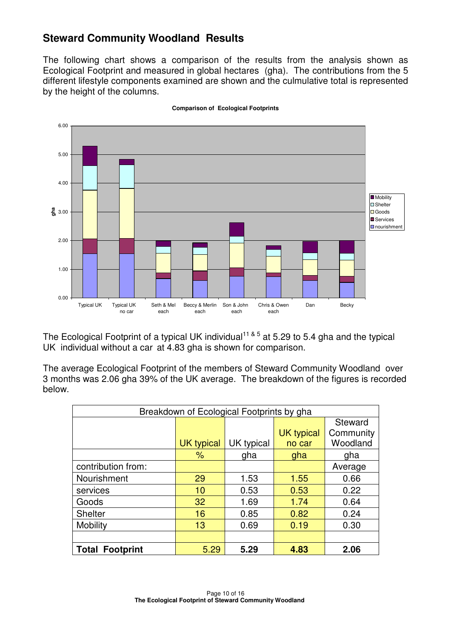# **Steward Community Woodland Results**

The following chart shows a comparison of the results from the analysis shown as Ecological Footprint and measured in global hectares (gha). The contributions from the 5 different lifestyle components examined are shown and the culmulative total is represented by the height of the columns.



**Comparison of Ecological Footprints** 

The Ecological Footprint of a typical UK individual<sup>11 & 5</sup> at 5.29 to 5.4 gha and the typical UK individual without a car at 4.83 gha is shown for comparison.

The average Ecological Footprint of the members of Steward Community Woodland over 3 months was 2.06 gha 39% of the UK average. The breakdown of the figures is recorded below.

| Breakdown of Ecological Footprints by gha |                   |            |                   |           |  |
|-------------------------------------------|-------------------|------------|-------------------|-----------|--|
|                                           |                   |            |                   | Steward   |  |
|                                           |                   |            | <b>UK typical</b> | Community |  |
|                                           | <b>UK typical</b> | UK typical | no car            | Woodland  |  |
|                                           | $\%$              | gha        | gha               | gha       |  |
| contribution from:                        |                   |            |                   | Average   |  |
| Nourishment                               | 29                | 1.53       | 1.55              | 0.66      |  |
| services                                  | 10                | 0.53       | 0.53              | 0.22      |  |
| Goods                                     | 32                | 1.69       | 1.74              | 0.64      |  |
| <b>Shelter</b>                            | 16                | 0.85       | 0.82              | 0.24      |  |
| Mobility                                  | 13                | 0.69       | 0.19              | 0.30      |  |
|                                           |                   |            |                   |           |  |
| <b>Total Footprint</b>                    | 5.29              | 5.29       | 4.83              | 2.06      |  |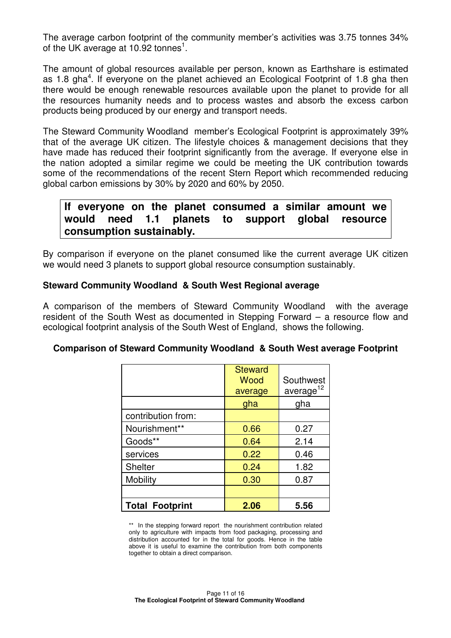The average carbon footprint of the community member's activities was 3.75 tonnes 34% of the UK average at 10.92 tonnes<sup>1</sup>.

The amount of global resources available per person, known as Earthshare is estimated as 1.8 gha<sup>4</sup>. If everyone on the planet achieved an Ecological Footprint of 1.8 gha then there would be enough renewable resources available upon the planet to provide for all the resources humanity needs and to process wastes and absorb the excess carbon products being produced by our energy and transport needs.

The Steward Community Woodland member's Ecological Footprint is approximately 39% that of the average UK citizen. The lifestyle choices & management decisions that they have made has reduced their footprint significantly from the average. If everyone else in the nation adopted a similar regime we could be meeting the UK contribution towards some of the recommendations of the recent Stern Report which recommended reducing global carbon emissions by 30% by 2020 and 60% by 2050.

## **If everyone on the planet consumed a similar amount we would need 1.1 planets to support global resource consumption sustainably.**

By comparison if everyone on the planet consumed like the current average UK citizen we would need 3 planets to support global resource consumption sustainably.

### **Steward Community Woodland & South West Regional average**

A comparison of the members of Steward Community Woodland with the average resident of the South West as documented in Stepping Forward – a resource flow and ecological footprint analysis of the South West of England, shows the following.

### **Comparison of Steward Community Woodland & South West average Footprint**

|                        | <b>Steward</b><br>Wood<br>average | Southwest<br>average <sup>12</sup> |
|------------------------|-----------------------------------|------------------------------------|
|                        | gha                               | gha                                |
| contribution from:     |                                   |                                    |
| Nourishment**          | 0.66                              | 0.27                               |
| Goods**                | 0.64                              | 2.14                               |
| services               | 0.22                              | 0.46                               |
| <b>Shelter</b>         | 0.24                              | 1.82                               |
| <b>Mobility</b>        | 0.30                              | 0.87                               |
|                        |                                   |                                    |
| <b>Total Footprint</b> | 2.06                              | 5.56                               |

\*\* In the stepping forward report the nourishment contribution related only to agriculture with impacts from food packaging, processing and distribution accounted for in the total for goods. Hence in the table above it is useful to examine the contribution from both components together to obtain a direct comparison.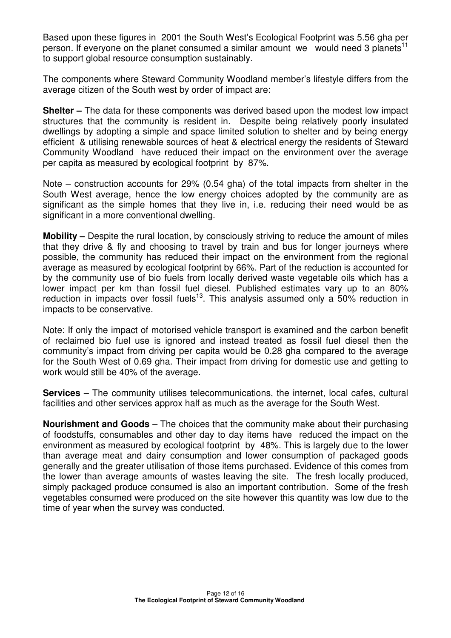Based upon these figures in 2001 the South West's Ecological Footprint was 5.56 gha per person. If everyone on the planet consumed a similar amount we would need 3 planets<sup>11</sup> to support global resource consumption sustainably.

The components where Steward Community Woodland member's lifestyle differs from the average citizen of the South west by order of impact are:

**Shelter –** The data for these components was derived based upon the modest low impact structures that the community is resident in. Despite being relatively poorly insulated dwellings by adopting a simple and space limited solution to shelter and by being energy efficient & utilising renewable sources of heat & electrical energy the residents of Steward Community Woodland have reduced their impact on the environment over the average per capita as measured by ecological footprint by 87%.

Note – construction accounts for 29% (0.54 gha) of the total impacts from shelter in the South West average, hence the low energy choices adopted by the community are as significant as the simple homes that they live in, i.e. reducing their need would be as significant in a more conventional dwelling.

**Mobility –** Despite the rural location, by consciously striving to reduce the amount of miles that they drive & fly and choosing to travel by train and bus for longer journeys where possible, the community has reduced their impact on the environment from the regional average as measured by ecological footprint by 66%. Part of the reduction is accounted for by the community use of bio fuels from locally derived waste vegetable oils which has a lower impact per km than fossil fuel diesel. Published estimates vary up to an 80% reduction in impacts over fossil fuels<sup>13</sup>. This analysis assumed only a  $50\%$  reduction in impacts to be conservative.

Note: If only the impact of motorised vehicle transport is examined and the carbon benefit of reclaimed bio fuel use is ignored and instead treated as fossil fuel diesel then the community's impact from driving per capita would be 0.28 gha compared to the average for the South West of 0.69 gha. Their impact from driving for domestic use and getting to work would still be 40% of the average.

**Services –** The community utilises telecommunications, the internet, local cafes, cultural facilities and other services approx half as much as the average for the South West.

**Nourishment and Goods** – The choices that the community make about their purchasing of foodstuffs, consumables and other day to day items have reduced the impact on the environment as measured by ecological footprint by 48%. This is largely due to the lower than average meat and dairy consumption and lower consumption of packaged goods generally and the greater utilisation of those items purchased. Evidence of this comes from the lower than average amounts of wastes leaving the site. The fresh locally produced, simply packaged produce consumed is also an important contribution. Some of the fresh vegetables consumed were produced on the site however this quantity was low due to the time of year when the survey was conducted.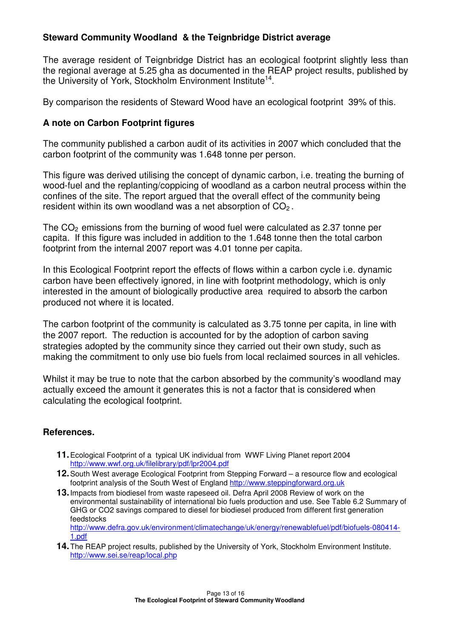### **Steward Community Woodland & the Teignbridge District average**

The average resident of Teignbridge District has an ecological footprint slightly less than the regional average at 5.25 gha as documented in the REAP project results, published by the University of York, Stockholm Environment Institute<sup>14</sup>.

By comparison the residents of Steward Wood have an ecological footprint 39% of this.

### **A note on Carbon Footprint figures**

The community published a carbon audit of its activities in 2007 which concluded that the carbon footprint of the community was 1.648 tonne per person.

This figure was derived utilising the concept of dynamic carbon, i.e. treating the burning of wood-fuel and the replanting/coppicing of woodland as a carbon neutral process within the confines of the site. The report argued that the overall effect of the community being resident within its own woodland was a net absorption of  $CO<sub>2</sub>$ .

The  $CO<sub>2</sub>$  emissions from the burning of wood fuel were calculated as 2.37 tonne per capita. If this figure was included in addition to the 1.648 tonne then the total carbon footprint from the internal 2007 report was 4.01 tonne per capita.

In this Ecological Footprint report the effects of flows within a carbon cycle i.e. dynamic carbon have been effectively ignored, in line with footprint methodology, which is only interested in the amount of biologically productive area required to absorb the carbon produced not where it is located.

The carbon footprint of the community is calculated as 3.75 tonne per capita, in line with the 2007 report. The reduction is accounted for by the adoption of carbon saving strategies adopted by the community since they carried out their own study, such as making the commitment to only use bio fuels from local reclaimed sources in all vehicles.

Whilst it may be true to note that the carbon absorbed by the community's woodland may actually exceed the amount it generates this is not a factor that is considered when calculating the ecological footprint.

### **References.**

- **11.** Ecological Footprint of a typical UK individual from WWF Living Planet report 2004 http://www.wwf.org.uk/filelibrary/pdf/lpr2004.pdf
- **12.** South West average Ecological Footprint from Stepping Forward a resource flow and ecological footprint analysis of the South West of England http://www.steppingforward.org.uk
- **13.** Impacts from biodiesel from waste rapeseed oil. Defra April 2008 Review of work on the environmental sustainability of international bio fuels production and use. See Table 6.2 Summary of GHG or CO2 savings compared to diesel for biodiesel produced from different first generation feedstocks http://www.defra.gov.uk/environment/climatechange/uk/energy/renewablefuel/pdf/biofuels-080414-

1.pdf

**14.** The REAP project results, published by the University of York, Stockholm Environment Institute. http://www.sei.se/reap/local.php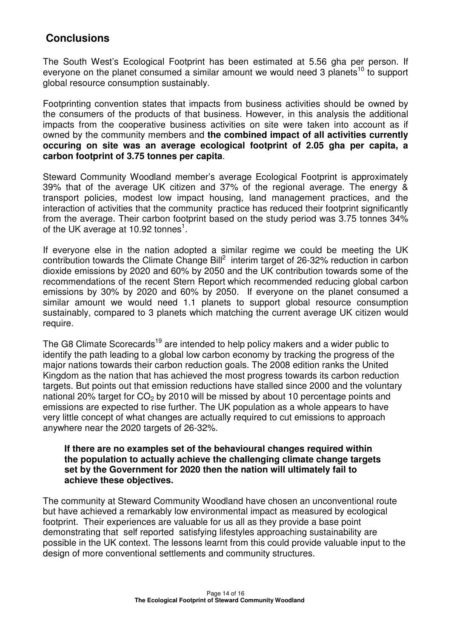# **Conclusions**

The South West's Ecological Footprint has been estimated at 5.56 gha per person. If everyone on the planet consumed a similar amount we would need 3 planets<sup>10</sup> to support global resource consumption sustainably.

Footprinting convention states that impacts from business activities should be owned by the consumers of the products of that business. However, in this analysis the additional impacts from the cooperative business activities on site were taken into account as if owned by the community members and **the combined impact of all activities currently occuring on site was an average ecological footprint of 2.05 gha per capita, a carbon footprint of 3.75 tonnes per capita**.

Steward Community Woodland member's average Ecological Footprint is approximately 39% that of the average UK citizen and 37% of the regional average. The energy & transport policies, modest low impact housing, land management practices, and the interaction of activities that the community practice has reduced their footprint significantly from the average. Their carbon footprint based on the study period was 3.75 tonnes 34% of the UK average at 10.92 tonnes<sup>1</sup>.

If everyone else in the nation adopted a similar regime we could be meeting the UK contribution towards the Climate Change Bill<sup>2</sup> interim target of 26-32% reduction in carbon dioxide emissions by 2020 and 60% by 2050 and the UK contribution towards some of the recommendations of the recent Stern Report which recommended reducing global carbon emissions by 30% by 2020 and 60% by 2050. If everyone on the planet consumed a similar amount we would need 1.1 planets to support global resource consumption sustainably, compared to 3 planets which matching the current average UK citizen would require.

The G8 Climate Scorecards<sup>19</sup> are intended to help policy makers and a wider public to identify the path leading to a global low carbon economy by tracking the progress of the major nations towards their carbon reduction goals. The 2008 edition ranks the United Kingdom as the nation that has achieved the most progress towards its carbon reduction targets. But points out that emission reductions have stalled since 2000 and the voluntary national 20% target for  $CO<sub>2</sub>$  by 2010 will be missed by about 10 percentage points and emissions are expected to rise further. The UK population as a whole appears to have very little concept of what changes are actually required to cut emissions to approach anywhere near the 2020 targets of 26-32%.

### **If there are no examples set of the behavioural changes required within the population to actually achieve the challenging climate change targets set by the Government for 2020 then the nation will ultimately fail to achieve these objectives.**

The community at Steward Community Woodland have chosen an unconventional route but have achieved a remarkably low environmental impact as measured by ecological footprint. Their experiences are valuable for us all as they provide a base point demonstrating that self reported satisfying lifestyles approaching sustainability are possible in the UK context. The lessons learnt from this could provide valuable input to the design of more conventional settlements and community structures.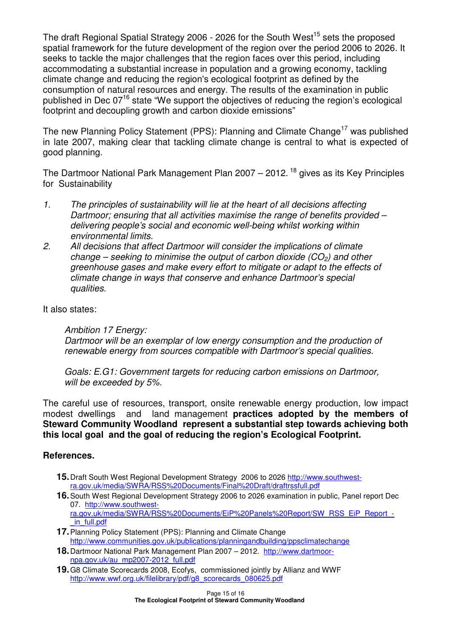The draft Regional Spatial Strategy 2006 - 2026 for the South West<sup>15</sup> sets the proposed spatial framework for the future development of the region over the period 2006 to 2026. It seeks to tackle the major challenges that the region faces over this period, including accommodating a substantial increase in population and a growing economy, tackling climate change and reducing the region's ecological footprint as defined by the consumption of natural resources and energy. The results of the examination in public published in Dec 07<sup>16</sup> state "We support the objectives of reducing the region's ecological footprint and decoupling growth and carbon dioxide emissions"

The new Planning Policy Statement (PPS): Planning and Climate Change<sup>17</sup> was published in late 2007, making clear that tackling climate change is central to what is expected of good planning.

The Dartmoor National Park Management Plan  $2007 - 2012$ .<sup>18</sup> gives as its Key Principles for Sustainability

- 1. The principles of sustainability will lie at the heart of all decisions affecting Dartmoor; ensuring that all activities maximise the range of benefits provided – delivering people's social and economic well-being whilst working within environmental limits.
- 2. All decisions that affect Dartmoor will consider the implications of climate change – seeking to minimise the output of carbon dioxide  $(CO<sub>2</sub>)$  and other greenhouse gases and make every effort to mitigate or adapt to the effects of climate change in ways that conserve and enhance Dartmoor's special qualities.

It also states:

Ambition 17 Energy:

Dartmoor will be an exemplar of low energy consumption and the production of renewable energy from sources compatible with Dartmoor's special qualities.

Goals: E.G1: Government targets for reducing carbon emissions on Dartmoor, will be exceeded by 5%.

The careful use of resources, transport, onsite renewable energy production, low impact modest dwellings and land management **practices adopted by the members of Steward Community Woodland represent a substantial step towards achieving both this local goal and the goal of reducing the region's Ecological Footprint.** 

### **References.**

- **15.** Draft South West Regional Development Strategy 2006 to 2026 http://www.southwestra.gov.uk/media/SWRA/RSS%20Documents/Final%20Draft/draftrssfull.pdf
- **16.** South West Regional Development Strategy 2006 to 2026 examination in public, Panel report Dec 07. http://www.southwestra.gov.uk/media/SWRA/RSS%20Documents/EiP%20Panels%20Report/SW\_RSS\_EiP\_Report\_- \_in\_full.pdf
- **17.** Planning Policy Statement (PPS): Planning and Climate Change http://www.communities.gov.uk/publications/planningandbuilding/ppsclimatechange
- **18.** Dartmoor National Park Management Plan 2007 2012. http://www.dartmoornpa.gov.uk/au\_mp2007-2012\_full.pdf
- **19.** G8 Climate Scorecards 2008, Ecofys, commissioned jointly by Allianz and WWF http://www.wwf.org.uk/filelibrary/pdf/g8\_scorecards\_080625.pdf